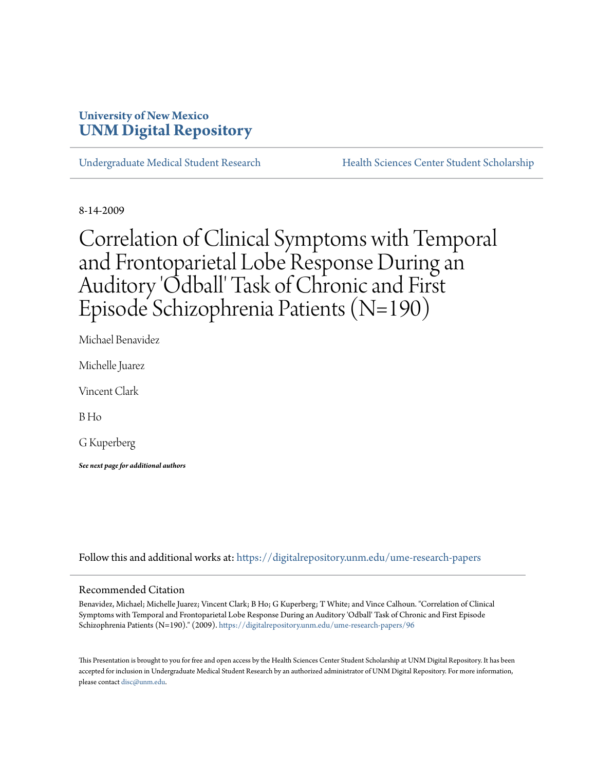# **University of New Mexico [UNM Digital Repository](https://digitalrepository.unm.edu?utm_source=digitalrepository.unm.edu%2Fume-research-papers%2F96&utm_medium=PDF&utm_campaign=PDFCoverPages)**

[Undergraduate Medical Student Research](https://digitalrepository.unm.edu/ume-research-papers?utm_source=digitalrepository.unm.edu%2Fume-research-papers%2F96&utm_medium=PDF&utm_campaign=PDFCoverPages) [Health Sciences Center Student Scholarship](https://digitalrepository.unm.edu/hsc-students?utm_source=digitalrepository.unm.edu%2Fume-research-papers%2F96&utm_medium=PDF&utm_campaign=PDFCoverPages)

8-14-2009

# Correlation of Clinical Symptoms with Temporal and Frontoparietal Lobe Response During an Auditory 'Odball' Task of Chronic and First Episode Schizophrenia Patients (N=190)

Michael Benavidez

Michelle Juarez

Vincent Clark

B Ho

G Kuperberg

*See next page for additional authors*

Follow this and additional works at: [https://digitalrepository.unm.edu/ume-research-papers](https://digitalrepository.unm.edu/ume-research-papers?utm_source=digitalrepository.unm.edu%2Fume-research-papers%2F96&utm_medium=PDF&utm_campaign=PDFCoverPages)

# Recommended Citation

Benavidez, Michael; Michelle Juarez; Vincent Clark; B Ho; G Kuperberg; T White; and Vince Calhoun. "Correlation of Clinical Symptoms with Temporal and Frontoparietal Lobe Response During an Auditory 'Odball' Task of Chronic and First Episode Schizophrenia Patients (N=190)." (2009). [https://digitalrepository.unm.edu/ume-research-papers/96](https://digitalrepository.unm.edu/ume-research-papers/96?utm_source=digitalrepository.unm.edu%2Fume-research-papers%2F96&utm_medium=PDF&utm_campaign=PDFCoverPages)

This Presentation is brought to you for free and open access by the Health Sciences Center Student Scholarship at UNM Digital Repository. It has been accepted for inclusion in Undergraduate Medical Student Research by an authorized administrator of UNM Digital Repository. For more information, please contact [disc@unm.edu.](mailto:disc@unm.edu)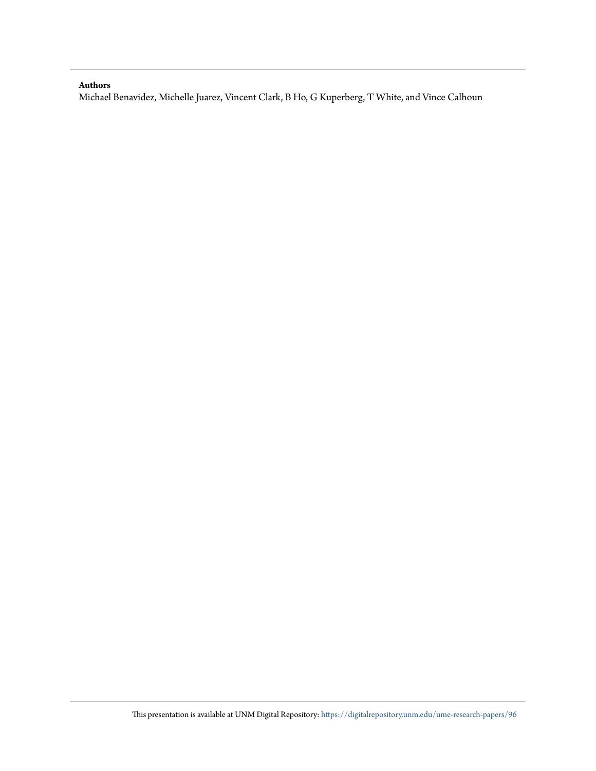#### **Authors**

Michael Benavidez, Michelle Juarez, Vincent Clark, B Ho, G Kuperberg, T White, and Vince Calhoun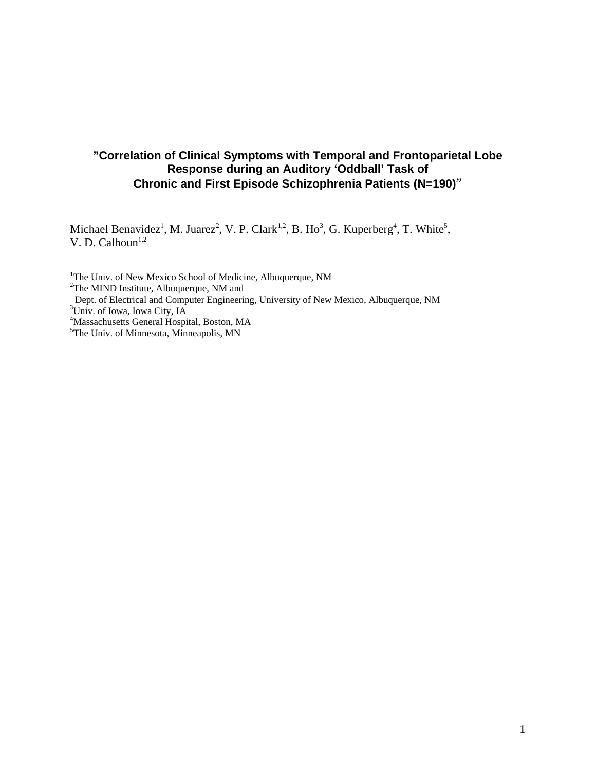# **"Correlation of Clinical Symptoms with Temporal and Frontoparietal Lobe Response during an Auditory 'Oddball' Task of Chronic and First Episode Schizophrenia Patients (N=190)**"

Michael Benavidez<sup>1</sup>, M. Juarez<sup>2</sup>, V. P. Clark<sup>1,2</sup>, B. Ho<sup>3</sup>, G. Kuperberg<sup>4</sup>, T. White<sup>5</sup>, V. D. Calhoun<sup>1,2</sup>

- <sup>1</sup>The Univ. of New Mexico School of Medicine, Albuquerque, NM
- <sup>2</sup>The MIND Institute, Albuquerque, NM and
- Dept. of Electrical and Computer Engineering, University of New Mexico, Albuquerque, NM
- <sup>3</sup>Univ. of Iowa, Iowa City, IA
- 4 Massachusetts General Hospital, Boston, MA 5 The Univ. of Minnesota, Minneapolis, MN
-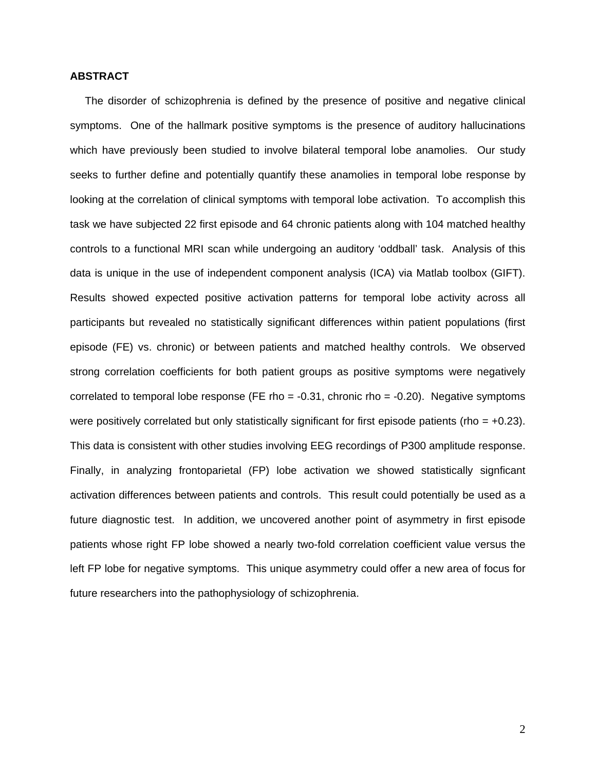# **ABSTRACT**

 The disorder of schizophrenia is defined by the presence of positive and negative clinical symptoms. One of the hallmark positive symptoms is the presence of auditory hallucinations which have previously been studied to involve bilateral temporal lobe anamolies. Our study seeks to further define and potentially quantify these anamolies in temporal lobe response by looking at the correlation of clinical symptoms with temporal lobe activation. To accomplish this task we have subjected 22 first episode and 64 chronic patients along with 104 matched healthy controls to a functional MRI scan while undergoing an auditory 'oddball' task. Analysis of this data is unique in the use of independent component analysis (ICA) via Matlab toolbox (GIFT). Results showed expected positive activation patterns for temporal lobe activity across all participants but revealed no statistically significant differences within patient populations (first episode (FE) vs. chronic) or between patients and matched healthy controls. We observed strong correlation coefficients for both patient groups as positive symptoms were negatively correlated to temporal lobe response (FE rho = -0.31, chronic rho = -0.20). Negative symptoms were positively correlated but only statistically significant for first episode patients (rho  $= +0.23$ ). This data is consistent with other studies involving EEG recordings of P300 amplitude response. Finally, in analyzing frontoparietal (FP) lobe activation we showed statistically signficant activation differences between patients and controls. This result could potentially be used as a future diagnostic test. In addition, we uncovered another point of asymmetry in first episode patients whose right FP lobe showed a nearly two-fold correlation coefficient value versus the left FP lobe for negative symptoms. This unique asymmetry could offer a new area of focus for future researchers into the pathophysiology of schizophrenia.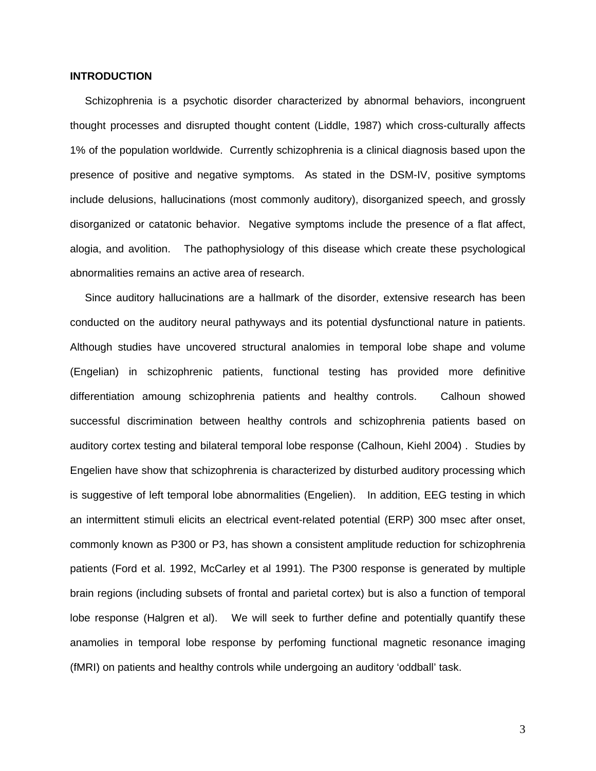# **INTRODUCTION**

 Schizophrenia is a psychotic disorder characterized by abnormal behaviors, incongruent thought processes and disrupted thought content (Liddle, 1987) which cross-culturally affects 1% of the population worldwide. Currently schizophrenia is a clinical diagnosis based upon the presence of positive and negative symptoms. As stated in the DSM-IV, positive symptoms include delusions, hallucinations (most commonly auditory), disorganized speech, and grossly disorganized or catatonic behavior. Negative symptoms include the presence of a flat affect, alogia, and avolition. The pathophysiology of this disease which create these psychological abnormalities remains an active area of research.

 Since auditory hallucinations are a hallmark of the disorder, extensive research has been conducted on the auditory neural pathyways and its potential dysfunctional nature in patients. Although studies have uncovered structural analomies in temporal lobe shape and volume (Engelian) in schizophrenic patients, functional testing has provided more definitive differentiation amoung schizophrenia patients and healthy controls. Calhoun showed successful discrimination between healthy controls and schizophrenia patients based on auditory cortex testing and bilateral temporal lobe response (Calhoun, Kiehl 2004) . Studies by Engelien have show that schizophrenia is characterized by disturbed auditory processing which is suggestive of left temporal lobe abnormalities (Engelien). In addition, EEG testing in which an intermittent stimuli elicits an electrical event-related potential (ERP) 300 msec after onset, commonly known as P300 or P3, has shown a consistent amplitude reduction for schizophrenia patients (Ford et al. 1992, McCarley et al 1991). The P300 response is generated by multiple brain regions (including subsets of frontal and parietal cortex) but is also a function of temporal lobe response (Halgren et al). We will seek to further define and potentially quantify these anamolies in temporal lobe response by perfoming functional magnetic resonance imaging (fMRI) on patients and healthy controls while undergoing an auditory 'oddball' task.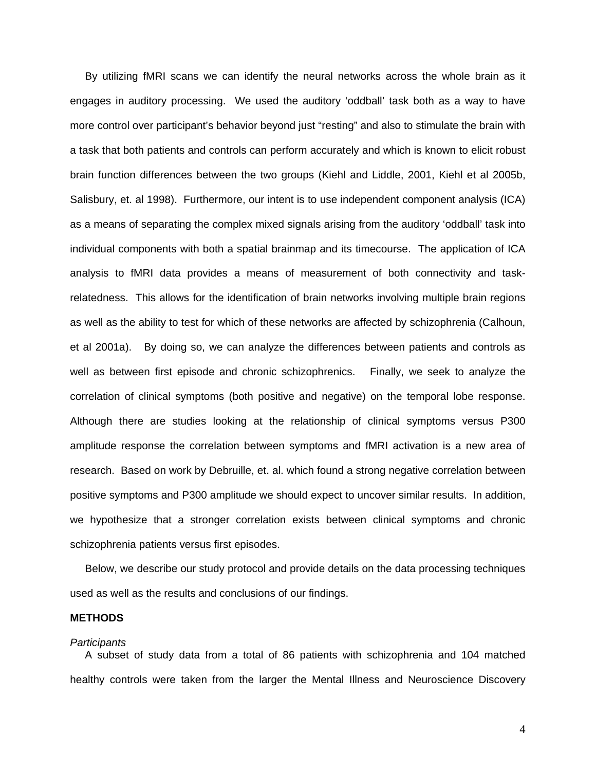By utilizing fMRI scans we can identify the neural networks across the whole brain as it engages in auditory processing. We used the auditory 'oddball' task both as a way to have more control over participant's behavior beyond just "resting" and also to stimulate the brain with a task that both patients and controls can perform accurately and which is known to elicit robust brain function differences between the two groups (Kiehl and Liddle, 2001, Kiehl et al 2005b, Salisbury, et. al 1998). Furthermore, our intent is to use independent component analysis (ICA) as a means of separating the complex mixed signals arising from the auditory 'oddball' task into individual components with both a spatial brainmap and its timecourse. The application of ICA analysis to fMRI data provides a means of measurement of both connectivity and taskrelatedness. This allows for the identification of brain networks involving multiple brain regions as well as the ability to test for which of these networks are affected by schizophrenia (Calhoun, et al 2001a). By doing so, we can analyze the differences between patients and controls as well as between first episode and chronic schizophrenics. Finally, we seek to analyze the correlation of clinical symptoms (both positive and negative) on the temporal lobe response. Although there are studies looking at the relationship of clinical symptoms versus P300 amplitude response the correlation between symptoms and fMRI activation is a new area of research. Based on work by Debruille, et. al. which found a strong negative correlation between positive symptoms and P300 amplitude we should expect to uncover similar results. In addition, we hypothesize that a stronger correlation exists between clinical symptoms and chronic schizophrenia patients versus first episodes.

 Below, we describe our study protocol and provide details on the data processing techniques used as well as the results and conclusions of our findings.

# **METHODS**

#### *Participants*

 A subset of study data from a total of 86 patients with schizophrenia and 104 matched healthy controls were taken from the larger the Mental Illness and Neuroscience Discovery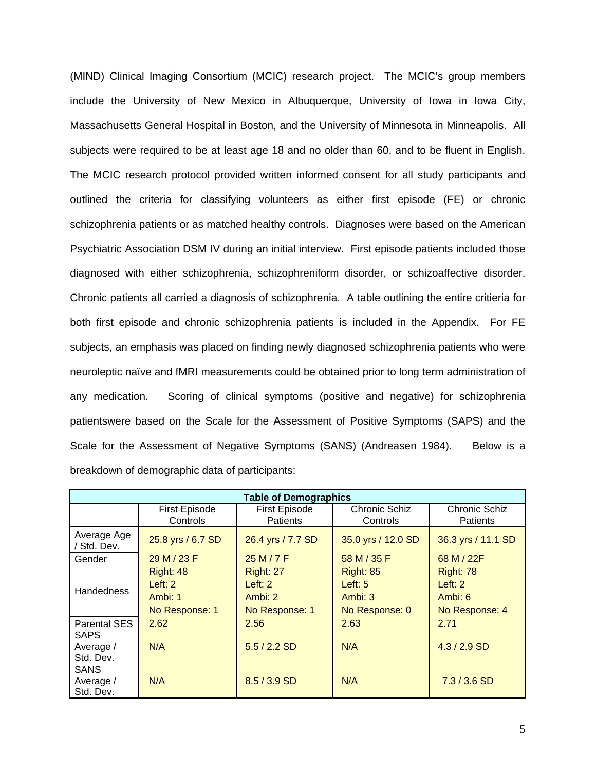(MIND) Clinical Imaging Consortium (MCIC) research project. The MCIC's group members include the University of New Mexico in Albuquerque, University of Iowa in Iowa City, Massachusetts General Hospital in Boston, and the University of Minnesota in Minneapolis. All subjects were required to be at least age 18 and no older than 60, and to be fluent in English. The MCIC research protocol provided written informed consent for all study participants and outlined the criteria for classifying volunteers as either first episode (FE) or chronic schizophrenia patients or as matched healthy controls. Diagnoses were based on the American Psychiatric Association DSM IV during an initial interview. First episode patients included those diagnosed with either schizophrenia, schizophreniform disorder, or schizoaffective disorder. Chronic patients all carried a diagnosis of schizophrenia. A table outlining the entire critieria for both first episode and chronic schizophrenia patients is included in the Appendix. For FE subjects, an emphasis was placed on finding newly diagnosed schizophrenia patients who were neuroleptic naïve and fMRI measurements could be obtained prior to long term administration of any medication. Scoring of clinical symptoms (positive and negative) for schizophrenia patientswere based on the Scale for the Assessment of Positive Symptoms (SAPS) and the Scale for the Assessment of Negative Symptoms (SANS) (Andreasen 1984). Below is a breakdown of demographic data of participants:

| <b>Table of Demographics</b> |                   |                   |                    |                    |  |  |
|------------------------------|-------------------|-------------------|--------------------|--------------------|--|--|
|                              | First Episode     | First Episode     | Chronic Schiz      | Chronic Schiz      |  |  |
|                              | Controls          | Patients          | Controls           | <b>Patients</b>    |  |  |
| Average Age<br>/ Std. Dev.   | 25.8 yrs / 6.7 SD | 26.4 yrs / 7.7 SD | 35.0 yrs / 12.0 SD | 36.3 yrs / 11.1 SD |  |  |
| Gender                       | 29 M / 23 F       | 25 M/7 F          | 58 M / 35 F        | 68 M / 22F         |  |  |
| <b>Handedness</b>            | Right: 48         | Right: 27         | <b>Right: 85</b>   | Right: 78          |  |  |
|                              | Left: $2$         | Left: $2$         | Left: $5$          | Left: $2$          |  |  |
|                              | Ambi: 1           | Ambi: 2           | Ambi: 3            | Ambi: 6            |  |  |
|                              | No Response: 1    | No Response: 1    | No Response: 0     | No Response: 4     |  |  |
| <b>Parental SES</b>          | 2.62              | 2.56              | 2.63               | 2.71               |  |  |
| <b>SAPS</b>                  |                   |                   |                    |                    |  |  |
| Average /                    | N/A               | $5.5 / 2.2$ SD    | N/A                | $4.3 / 2.9$ SD     |  |  |
| Std. Dev.                    |                   |                   |                    |                    |  |  |
| <b>SANS</b>                  |                   |                   |                    |                    |  |  |
| Average /                    | N/A               | 8.5 / 3.9 SD      | N/A                | $7.3 / 3.6$ SD     |  |  |
| Std. Dev.                    |                   |                   |                    |                    |  |  |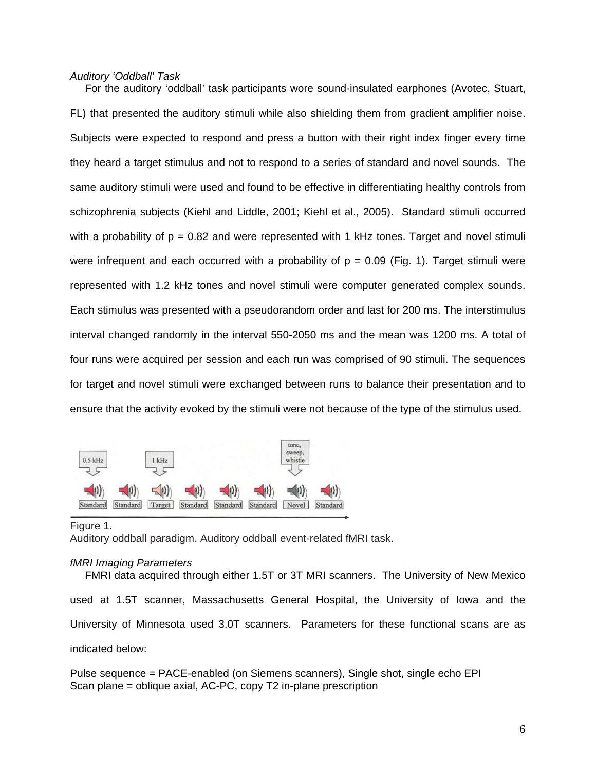#### *Auditory 'Oddball' Task*

 For the auditory 'oddball' task participants wore sound-insulated earphones (Avotec, Stuart, FL) that presented the auditory stimuli while also shielding them from gradient amplifier noise. Subjects were expected to respond and press a button with their right index finger every time they heard a target stimulus and not to respond to a series of standard and novel sounds. The same auditory stimuli were used and found to be effective in differentiating healthy controls from schizophrenia subjects (Kiehl and Liddle, 2001; Kiehl et al., 2005). Standard stimuli occurred with a probability of  $p = 0.82$  and were represented with 1 kHz tones. Target and novel stimuli were infrequent and each occurred with a probability of  $p = 0.09$  (Fig. 1). Target stimuli were represented with 1.2 kHz tones and novel stimuli were computer generated complex sounds. Each stimulus was presented with a pseudorandom order and last for 200 ms. The interstimulus interval changed randomly in the interval 550-2050 ms and the mean was 1200 ms. A total of four runs were acquired per session and each run was comprised of 90 stimuli. The sequences for target and novel stimuli were exchanged between runs to balance their presentation and to ensure that the activity evoked by the stimuli were not because of the type of the stimulus used.



Figure 1.

Auditory oddball paradigm. Auditory oddball event-related fMRI task.

#### *fMRI Imaging Parameters*

 FMRI data acquired through either 1.5T or 3T MRI scanners. The University of New Mexico used at 1.5T scanner, Massachusetts General Hospital, the University of Iowa and the University of Minnesota used 3.0T scanners. Parameters for these functional scans are as indicated below:

Pulse sequence = PACE-enabled (on Siemens scanners), Single shot, single echo EPI Scan plane = oblique axial, AC-PC, copy T2 in-plane prescription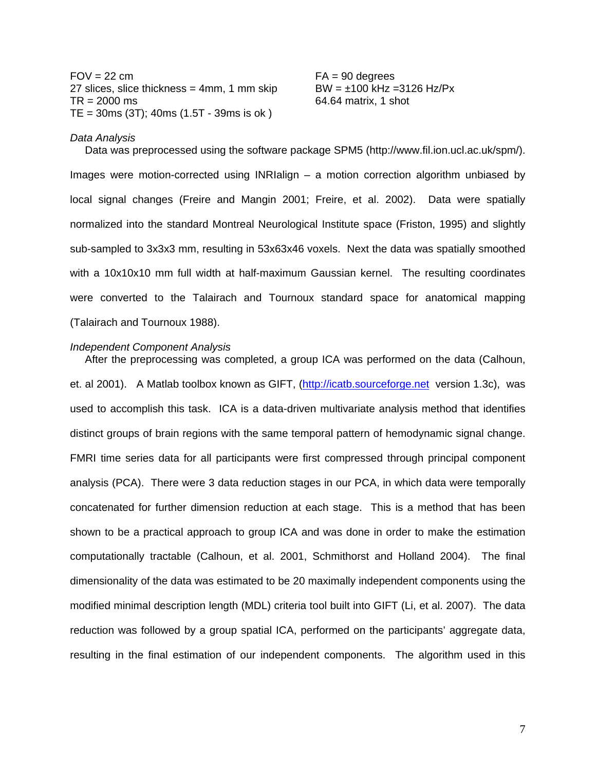$FOV = 22$  cm  $FA = 90$  degrees 27 slices, slice thickness = 4mm, 1 mm skip  $BW = \pm 100$  kHz = 3126 Hz/Px  $TR = 2000 \text{ ms}$  64.64 matrix, 1 shot  $TE = 30$ ms (3T); 40ms (1.5T - 39ms is ok)

#### *Data Analysis*

 Data was preprocessed using the software package SPM5 (http://www.fil.ion.ucl.ac.uk/spm/). Images were motion-corrected using INRIalign – a motion correction algorithm unbiased by local signal changes (Freire and Mangin 2001; Freire, et al. 2002). Data were spatially normalized into the standard Montreal Neurological Institute space (Friston, 1995) and slightly sub-sampled to 3x3x3 mm, resulting in 53x63x46 voxels. Next the data was spatially smoothed with a 10x10x10 mm full width at half-maximum Gaussian kernel. The resulting coordinates were converted to the Talairach and Tournoux standard space for anatomical mapping (Talairach and Tournoux 1988).

#### *Independent Component Analysis*

 After the preprocessing was completed, a group ICA was performed on the data (Calhoun, et. al 2001). A Matlab toolbox known as GIFT, (http://icatb.sourceforge.net version 1.3c), was used to accomplish this task. ICA is a data-driven multivariate analysis method that identifies distinct groups of brain regions with the same temporal pattern of hemodynamic signal change. FMRI time series data for all participants were first compressed through principal component analysis (PCA). There were 3 data reduction stages in our PCA, in which data were temporally concatenated for further dimension reduction at each stage. This is a method that has been shown to be a practical approach to group ICA and was done in order to make the estimation computationally tractable (Calhoun, et al. 2001, Schmithorst and Holland 2004). The final dimensionality of the data was estimated to be 20 maximally independent components using the modified minimal description length (MDL) criteria tool built into GIFT (Li, et al. 2007). The data reduction was followed by a group spatial ICA, performed on the participants' aggregate data, resulting in the final estimation of our independent components. The algorithm used in this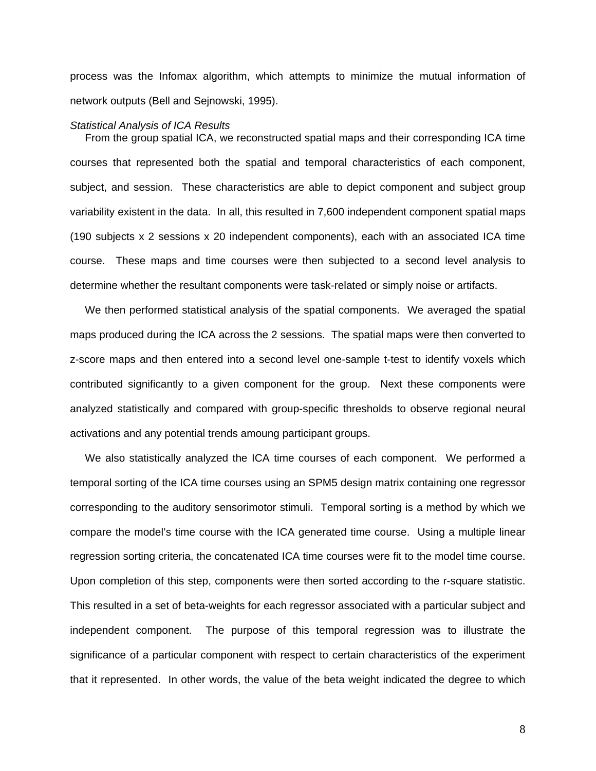process was the Infomax algorithm, which attempts to minimize the mutual information of network outputs (Bell and Sejnowski, 1995).

# *Statistical Analysis of ICA Results*

 From the group spatial ICA, we reconstructed spatial maps and their corresponding ICA time courses that represented both the spatial and temporal characteristics of each component, subject, and session. These characteristics are able to depict component and subject group variability existent in the data. In all, this resulted in 7,600 independent component spatial maps (190 subjects x 2 sessions x 20 independent components), each with an associated ICA time course. These maps and time courses were then subjected to a second level analysis to determine whether the resultant components were task-related or simply noise or artifacts.

 We then performed statistical analysis of the spatial components. We averaged the spatial maps produced during the ICA across the 2 sessions. The spatial maps were then converted to z-score maps and then entered into a second level one-sample t-test to identify voxels which contributed significantly to a given component for the group. Next these components were analyzed statistically and compared with group-specific thresholds to observe regional neural activations and any potential trends amoung participant groups.

 We also statistically analyzed the ICA time courses of each component. We performed a temporal sorting of the ICA time courses using an SPM5 design matrix containing one regressor corresponding to the auditory sensorimotor stimuli. Temporal sorting is a method by which we compare the model's time course with the ICA generated time course. Using a multiple linear regression sorting criteria, the concatenated ICA time courses were fit to the model time course. Upon completion of this step, components were then sorted according to the r-square statistic. This resulted in a set of beta-weights for each regressor associated with a particular subject and independent component. The purpose of this temporal regression was to illustrate the significance of a particular component with respect to certain characteristics of the experiment that it represented. In other words, the value of the beta weight indicated the degree to which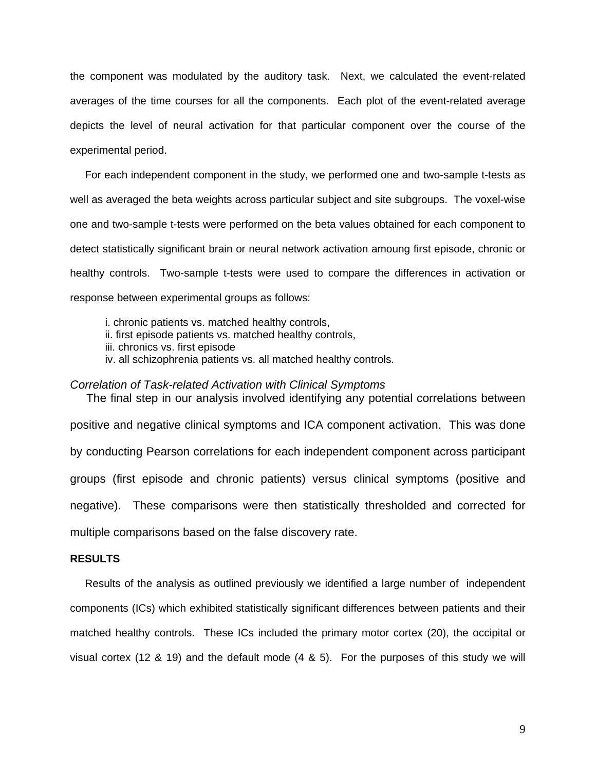the component was modulated by the auditory task. Next, we calculated the event-related averages of the time courses for all the components. Each plot of the event-related average depicts the level of neural activation for that particular component over the course of the experimental period.

 For each independent component in the study, we performed one and two-sample t-tests as well as averaged the beta weights across particular subject and site subgroups. The voxel-wise one and two-sample t-tests were performed on the beta values obtained for each component to detect statistically significant brain or neural network activation amoung first episode, chronic or healthy controls. Two-sample t-tests were used to compare the differences in activation or response between experimental groups as follows:

i. chronic patients vs. matched healthy controls,

ii. first episode patients vs. matched healthy controls,

iii. chronics vs. first episode

iv. all schizophrenia patients vs. all matched healthy controls.

*Correlation of Task-related Activation with Clinical Symptoms* 

 The final step in our analysis involved identifying any potential correlations between positive and negative clinical symptoms and ICA component activation. This was done by conducting Pearson correlations for each independent component across participant groups (first episode and chronic patients) versus clinical symptoms (positive and negative). These comparisons were then statistically thresholded and corrected for multiple comparisons based on the false discovery rate.

# **RESULTS**

 Results of the analysis as outlined previously we identified a large number of independent components (ICs) which exhibited statistically significant differences between patients and their matched healthy controls. These ICs included the primary motor cortex (20), the occipital or visual cortex (12 & 19) and the default mode (4 & 5). For the purposes of this study we will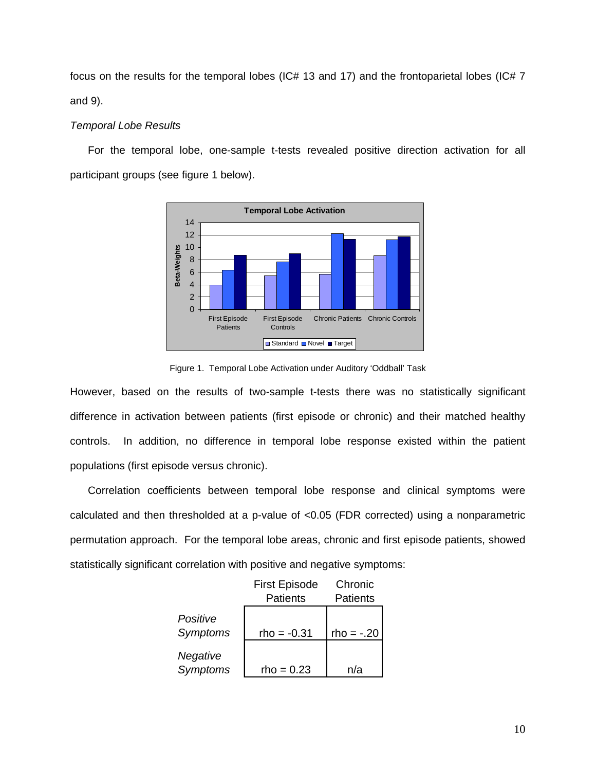focus on the results for the temporal lobes (IC# 13 and 17) and the frontoparietal lobes (IC# 7 and 9).

# *Temporal Lobe Results*

 For the temporal lobe, one-sample t-tests revealed positive direction activation for all participant groups (see figure 1 below).



Figure 1. Temporal Lobe Activation under Auditory 'Oddball' Task

However, based on the results of two-sample t-tests there was no statistically significant difference in activation between patients (first episode or chronic) and their matched healthy controls. In addition, no difference in temporal lobe response existed within the patient populations (first episode versus chronic).

 Correlation coefficients between temporal lobe response and clinical symptoms were calculated and then thresholded at a p-value of <0.05 (FDR corrected) using a nonparametric permutation approach. For the temporal lobe areas, chronic and first episode patients, showed statistically significant correlation with positive and negative symptoms:

|                      | <b>First Episode</b><br><b>Patients</b> | Chronic<br>Patients |
|----------------------|-----------------------------------------|---------------------|
| Positive<br>Symptoms | $rho = -0.31$                           | $rho = -.20$        |
| Negative<br>Symptoms | $rho = 0.23$                            | n/a                 |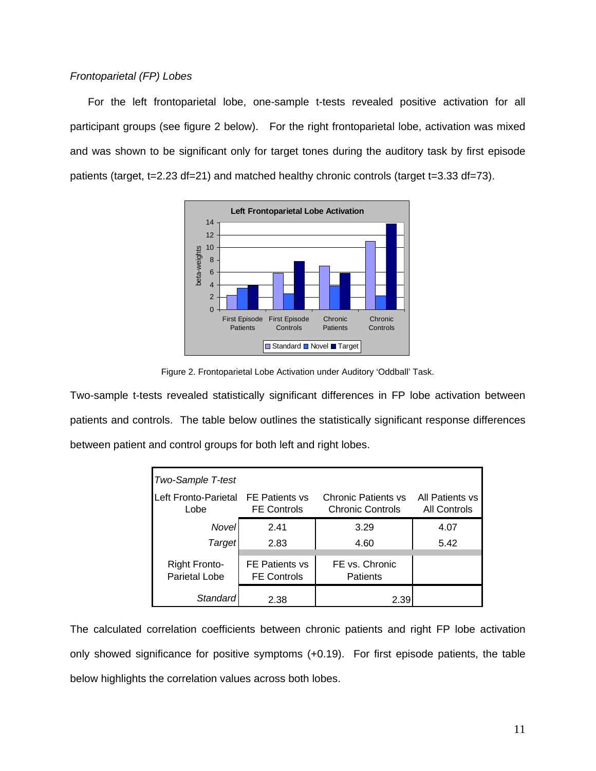# *Frontoparietal (FP) Lobes*

 For the left frontoparietal lobe, one-sample t-tests revealed positive activation for all participant groups (see figure 2 below). For the right frontoparietal lobe, activation was mixed and was shown to be significant only for target tones during the auditory task by first episode patients (target, t=2.23 df=21) and matched healthy chronic controls (target t=3.33 df=73).



Figure 2. Frontoparietal Lobe Activation under Auditory 'Oddball' Task.

Two-sample t-tests revealed statistically significant differences in FP lobe activation between patients and controls. The table below outlines the statistically significant response differences between patient and control groups for both left and right lobes.

| Two-Sample T-test                     |                                      |                                                |                                        |  |  |  |
|---------------------------------------|--------------------------------------|------------------------------------------------|----------------------------------------|--|--|--|
| Left Fronto-Parietal<br>Lobe          | FE Patients vs<br><b>FE Controls</b> | Chronic Patients vs<br><b>Chronic Controls</b> | All Patients vs<br><b>All Controls</b> |  |  |  |
| <b>Novel</b>                          | 2.41                                 | 3.29                                           | 4.07                                   |  |  |  |
| <b>Target</b>                         | 2.83                                 | 4.60                                           | 5.42                                   |  |  |  |
| <b>Right Fronto-</b><br>Parietal Lobe | FE Patients vs<br><b>FE Controls</b> | FE vs. Chronic<br>Patients                     |                                        |  |  |  |
| Standard                              | 2.38                                 |                                                |                                        |  |  |  |

The calculated correlation coefficients between chronic patients and right FP lobe activation only showed significance for positive symptoms (+0.19). For first episode patients, the table below highlights the correlation values across both lobes.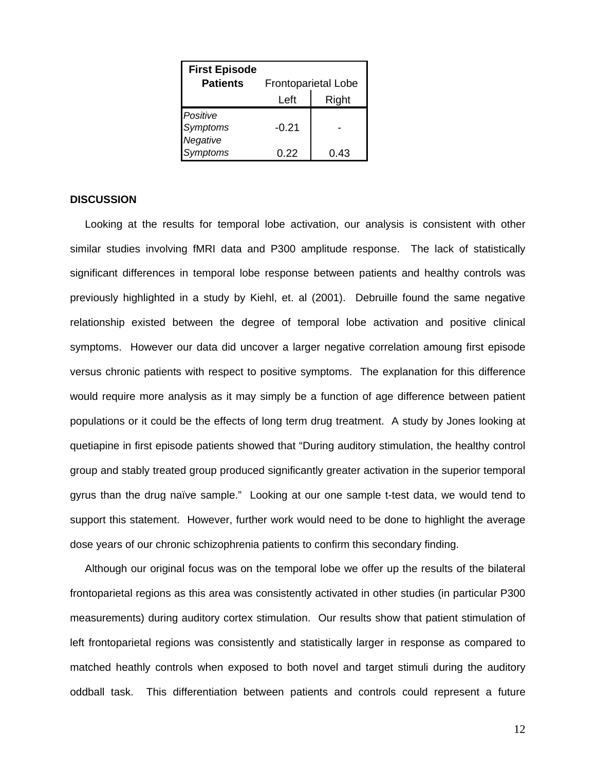| <b>First Episode</b><br><b>Patients</b> | <b>Frontoparietal Lobe</b> |       |  |
|-----------------------------------------|----------------------------|-------|--|
|                                         | Left                       | Right |  |
| Positive<br>Symptoms<br>Negative        | $-0.21$                    |       |  |
| Symptoms                                | 0.22                       | 0.43  |  |

# **DISCUSSION**

 Looking at the results for temporal lobe activation, our analysis is consistent with other similar studies involving fMRI data and P300 amplitude response. The lack of statistically significant differences in temporal lobe response between patients and healthy controls was previously highlighted in a study by Kiehl, et. al (2001). Debruille found the same negative relationship existed between the degree of temporal lobe activation and positive clinical symptoms. However our data did uncover a larger negative correlation amoung first episode versus chronic patients with respect to positive symptoms. The explanation for this difference would require more analysis as it may simply be a function of age difference between patient populations or it could be the effects of long term drug treatment. A study by Jones looking at quetiapine in first episode patients showed that "During auditory stimulation, the healthy control group and stably treated group produced significantly greater activation in the superior temporal gyrus than the drug naïve sample." Looking at our one sample t-test data, we would tend to support this statement. However, further work would need to be done to highlight the average dose years of our chronic schizophrenia patients to confirm this secondary finding.

 Although our original focus was on the temporal lobe we offer up the results of the bilateral frontoparietal regions as this area was consistently activated in other studies (in particular P300 measurements) during auditory cortex stimulation. Our results show that patient stimulation of left frontoparietal regions was consistently and statistically larger in response as compared to matched heathly controls when exposed to both novel and target stimuli during the auditory oddball task. This differentiation between patients and controls could represent a future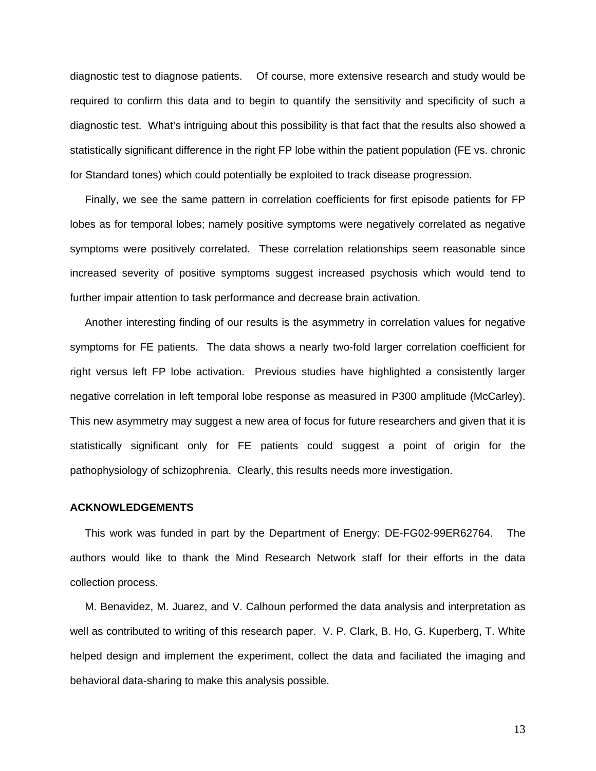diagnostic test to diagnose patients. Of course, more extensive research and study would be required to confirm this data and to begin to quantify the sensitivity and specificity of such a diagnostic test. What's intriguing about this possibility is that fact that the results also showed a statistically significant difference in the right FP lobe within the patient population (FE vs. chronic for Standard tones) which could potentially be exploited to track disease progression.

 Finally, we see the same pattern in correlation coefficients for first episode patients for FP lobes as for temporal lobes; namely positive symptoms were negatively correlated as negative symptoms were positively correlated. These correlation relationships seem reasonable since increased severity of positive symptoms suggest increased psychosis which would tend to further impair attention to task performance and decrease brain activation.

 Another interesting finding of our results is the asymmetry in correlation values for negative symptoms for FE patients. The data shows a nearly two-fold larger correlation coefficient for right versus left FP lobe activation. Previous studies have highlighted a consistently larger negative correlation in left temporal lobe response as measured in P300 amplitude (McCarley). This new asymmetry may suggest a new area of focus for future researchers and given that it is statistically significant only for FE patients could suggest a point of origin for the pathophysiology of schizophrenia. Clearly, this results needs more investigation.

#### **ACKNOWLEDGEMENTS**

 This work was funded in part by the Department of Energy: DE-FG02-99ER62764. The authors would like to thank the Mind Research Network staff for their efforts in the data collection process.

 M. Benavidez, M. Juarez, and V. Calhoun performed the data analysis and interpretation as well as contributed to writing of this research paper. V. P. Clark, B. Ho, G. Kuperberg, T. White helped design and implement the experiment, collect the data and faciliated the imaging and behavioral data-sharing to make this analysis possible.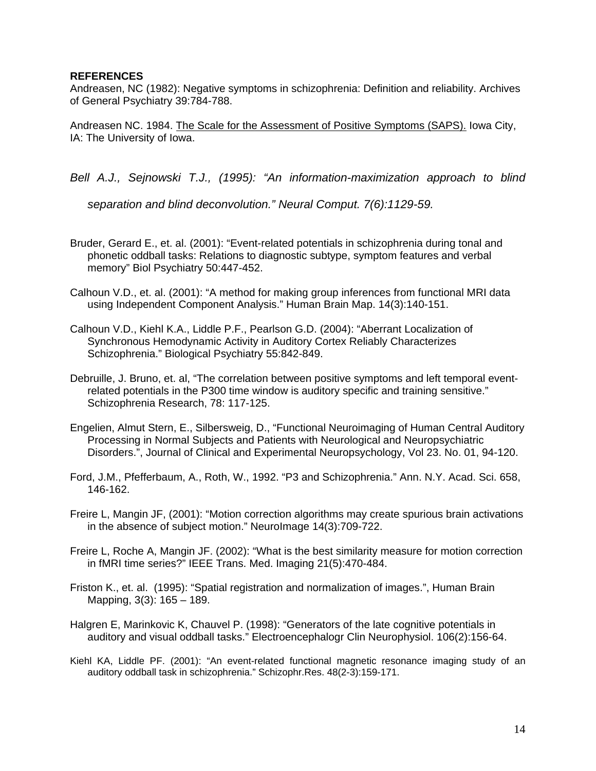# **REFERENCES**

Andreasen, NC (1982): Negative symptoms in schizophrenia: Definition and reliability. Archives of General Psychiatry 39:784-788.

Andreasen NC. 1984. The Scale for the Assessment of Positive Symptoms (SAPS). Iowa City, IA: The University of Iowa.

*Bell A.J., Sejnowski T.J., (1995): "An information-maximization approach to blind* 

*separation and blind deconvolution." Neural Comput. 7(6):1129-59.* 

- Bruder, Gerard E., et. al. (2001): "Event-related potentials in schizophrenia during tonal and phonetic oddball tasks: Relations to diagnostic subtype, symptom features and verbal memory" Biol Psychiatry 50:447-452.
- Calhoun V.D., et. al. (2001): "A method for making group inferences from functional MRI data using Independent Component Analysis." Human Brain Map. 14(3):140-151.
- Calhoun V.D., Kiehl K.A., Liddle P.F., Pearlson G.D. (2004): "Aberrant Localization of Synchronous Hemodynamic Activity in Auditory Cortex Reliably Characterizes Schizophrenia." Biological Psychiatry 55:842-849.
- Debruille, J. Bruno, et. al, "The correlation between positive symptoms and left temporal eventrelated potentials in the P300 time window is auditory specific and training sensitive." Schizophrenia Research, 78: 117-125.
- Engelien, Almut Stern, E., Silbersweig, D., "Functional Neuroimaging of Human Central Auditory Processing in Normal Subjects and Patients with Neurological and Neuropsychiatric Disorders.", Journal of Clinical and Experimental Neuropsychology, Vol 23. No. 01, 94-120.
- Ford, J.M., Pfefferbaum, A., Roth, W., 1992. "P3 and Schizophrenia." Ann. N.Y. Acad. Sci. 658, 146-162.
- Freire L, Mangin JF, (2001): "Motion correction algorithms may create spurious brain activations in the absence of subject motion." NeuroImage 14(3):709-722.
- Freire L, Roche A, Mangin JF. (2002): "What is the best similarity measure for motion correction in fMRI time series?" IEEE Trans. Med. Imaging 21(5):470-484.
- Friston K., et. al. (1995): "Spatial registration and normalization of images.", Human Brain Mapping, 3(3): 165 – 189.
- Halgren E, Marinkovic K, Chauvel P. (1998): "Generators of the late cognitive potentials in auditory and visual oddball tasks." Electroencephalogr Clin Neurophysiol. 106(2):156-64.
- Kiehl KA, Liddle PF. (2001): "An event-related functional magnetic resonance imaging study of an auditory oddball task in schizophrenia." Schizophr.Res. 48(2-3):159-171.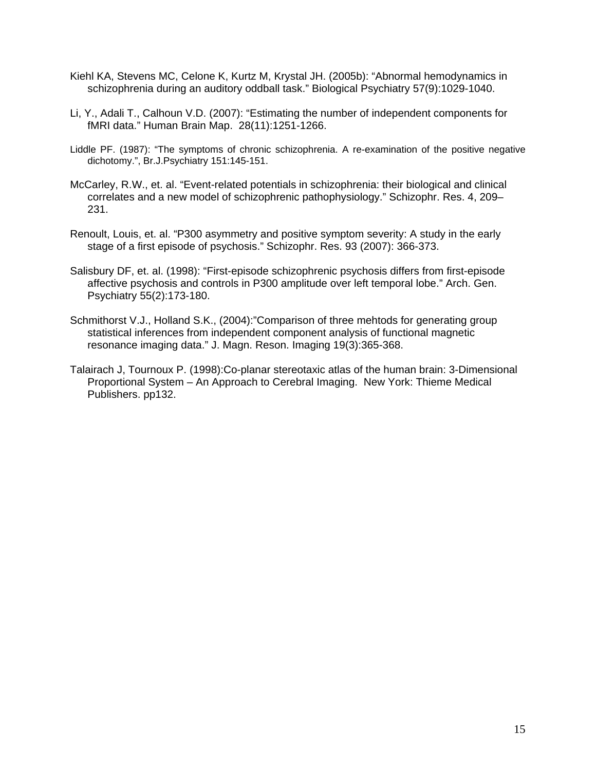- Kiehl KA, Stevens MC, Celone K, Kurtz M, Krystal JH. (2005b): "Abnormal hemodynamics in schizophrenia during an auditory oddball task." Biological Psychiatry 57(9):1029-1040.
- Li, Y., Adali T., Calhoun V.D. (2007): "Estimating the number of independent components for fMRI data." Human Brain Map. 28(11):1251-1266.
- Liddle PF. (1987): "The symptoms of chronic schizophrenia. A re-examination of the positive negative dichotomy.", Br.J.Psychiatry 151:145-151.
- McCarley, R.W., et. al. "Event-related potentials in schizophrenia: their biological and clinical correlates and a new model of schizophrenic pathophysiology." Schizophr. Res. 4, 209– 231.
- Renoult, Louis, et. al. "P300 asymmetry and positive symptom severity: A study in the early stage of a first episode of psychosis." Schizophr. Res. 93 (2007): 366-373.
- Salisbury DF, et. al. (1998): "First-episode schizophrenic psychosis differs from first-episode affective psychosis and controls in P300 amplitude over left temporal lobe." Arch. Gen. Psychiatry 55(2):173-180.
- Schmithorst V.J., Holland S.K., (2004):"Comparison of three mehtods for generating group statistical inferences from independent component analysis of functional magnetic resonance imaging data." J. Magn. Reson. Imaging 19(3):365-368.
- Talairach J, Tournoux P. (1998):Co-planar stereotaxic atlas of the human brain: 3-Dimensional Proportional System – An Approach to Cerebral Imaging. New York: Thieme Medical Publishers. pp132.